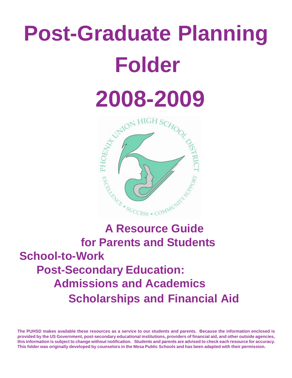# **Post-Graduate Planning Folder**





# **for Parents and Students School-to-Work Post-Secondary Education: Admissions and Academics Scholarships and Financial Aid**

**The PUHSD makes available these resources as a service to our students and parents. Because the information enclosed is provided by the US Government, post-secondary educational institutions, providers of financial aid, and other outside agencies, this information is subject to change without notification. Students and parents are advised to check each resource for accuracy. This folder was originally developed by counselors in the Mesa Public Schools and has been adapted with their permission.**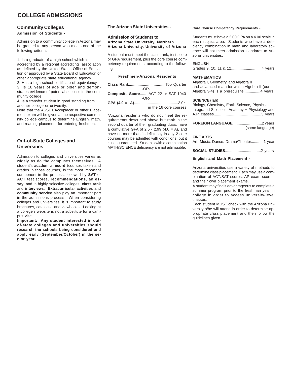#### **COLLEGE ADMISSIONS**

#### **Community Colleges Admission of Students -**

Admission to a community college in Arizona may be granted to any person who meets one of the following criteria:

1. Is a graduate of a high school which is accredited by a regional accrediting association as defined by the United States Office of Education or approved by a State Board of Education or other appropriate state educational agency. 2. Has a high school certificate of equivalency. 3. Is 18 years of age or older and demonstrates evidence of potential success in the community college.

4. Is a transfer student in good standing from another college or university.

Note that the ASSET/Accuplacer or other Placement exam will be given at the respective community college campus to determine English, math, and reading placement for entering freshmen.

#### **Out-of-State Colleges and Universities**

Admission to colleges and universities varies as widely as do the campuses themselves. A student's **academic record** (courses taken and grades in those courses) is the most important component in the process, followed by **SAT** or **ACT** test scores, **recommendations**, an **essay**, and in highly selective colleges, **class rank** and **interviews**. **Extracurricular activities** and **community service** also play an important part in the admissions process. When considering colleges and universities, it is important to study brochures, catalogs, and viewbooks. Looking at a college's website is not a substitute for a campus visit.

**Important: Any student interested in outof-state colleges and universities should research the schools being considered and apply early (September/October) in the senior year.**

#### **The Arizona State Universities -**

#### **Admission of Students to Arizona State University, Northern Arizona University, University of Arizona**

A student must meet the class rank, test score or GPA requirement, plus the core course competency requirements, according to the following:

#### **Freshmen-Arizona Residents**

| -OR-                              |
|-----------------------------------|
| Composite ScoreACT 22 or SAT 1040 |
| $-OR-$                            |
|                                   |
| in the 16 core courses            |

\*Arizona residents who do not meet the requirements described above but rank in the second quarter of their graduating class, have a cumulative GPA of  $2.5 - 2.99$  (4.0 = A), and have no more than 1 deficiency in any 2 core courses may be admitted with conditions, but it is not guaranteed. Students with a combination MATH/SCIENCE deficiency are not admissible.

#### **Core Course Competency Requirements -**

Students must have a 2.00 GPA on a 4.00 scale in each subject area. Students who have a deficiency combination in math and laboratory science will not meet admission standards to Arizona universities.

#### **ENGLISH**

Grades 9, 10, 11 & 12.............................4 years

#### **MATHEMATICS**

Algebra I, Geometry, and Algebra II and advanced math for which Algebra II (our Algebra 3-4) is a prerequisite................4 years

#### **SCIENCE (lab)**

| Biology, Chemistry, Earth Science, Physics,   |
|-----------------------------------------------|
| Integrated Sciences, Anatomy + Physiology and |
|                                               |
|                                               |

| (same language) |
|-----------------|

#### **FINE ARTS**

Art, Music, Dance, Drama/Theater............1 year

**SOCIAL STUDIES**..................................2 years

#### **English and Math Placement -**

Arizona universities use a variety of methods to determine class placement. Each may use a combination of ACT/SAT scores, AP exam scores, and their own placement exams.

A student may find it advantageous to complete a summer program prior to the freshman year in college in order to access university-level classes.

Each student MUST check with the Arizona university s/he will attend in order to determine appropriate class placement and then follow the guidelines given.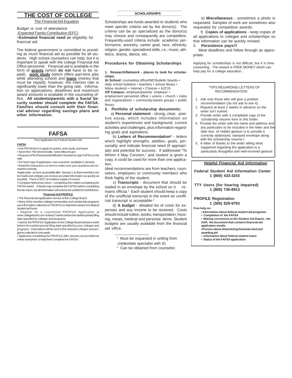#### **THE COST OF COLLEGE**

The Financial Aid Equation

#### Budget or cost of attendance -Expected Family Contribution (EFC) =**Estimated financial need or** eligibility for financial aid

The federal government is committed to providing as much financial aid as possible for all students. High school counselors can help, but it is important to speak with the college Financial Aid Office personnel. Financial aid is available in the form of **grants** (which **do not** have to be repaid), **work study** (which offers part-time jobs while attending school) and **loans** (money that must be repaid); however, the interest rate is significantly lower than the going rate. Information on applications, deadlines and maximum award amounts is available in the counseling office. **All students/parents with a Social Security number should complete the FAFSA. Families should consult with their financial advisor regarding savings plans and other information.**

#### **FAFSA**

Free Application for Federal Student Aid

**FAFSA** • Use FAFSA form to apply for grants, work study, and loans.

• Save time: File electronically - www.fafsa.ed.gov

• Request a PIN (Personal Identification Number) to sign FAFSA on the web. • For hard copy of application, see counselor; available in January

• Read the instructions on form to make sure your questions are answered correctly.

•Apply early - as soon as possible after January 1 so that corrections can be made and colleges can receive accurate information as quickly as possible. There is NOT an endless supply of money!

• Complete federal tax return - completing this makes completing the FAFSA easier . A family may complete the FAFSA before completing the tax return, but all information will need to be verified for truthfulness.

#### **Financial Aid PROFILE**

• The financial aid application service of the College Board

• Many of the member colleges /universities and scholarship programs use information collected on PROFILE to help them award non-federal student aid funds.

• Register for a customized PROFILE Application at www.collegeboard.com at least 2 weeks before the earliest priority filing date specified by colleges and programs.

• Submit the PROFILE Application to the College Board at least a week before the earliest priority filing date specified by your colleges and programs. Information will be sent to the selected colleges and pro-

grams selected in one week. • Applicants completing the PROFILE after January are provided an online worksheet to help them complete the FAFSA.

#### **\_\_\_\_\_\_\_\_\_\_\_\_\_\_\_\_\_\_\_\_\_\_\_\_\_\_\_\_\_\_ SCHOLARSHIPS \_\_\_\_\_\_\_\_\_\_\_\_\_\_\_\_\_\_\_\_\_\_\_\_\_\_\_\_\_\_**

Scholarships are funds awarded to students who meet specific criteria set by the donor(s). The criteria can be as specialized as the donor(s) may choose and consequently are competitive. Frequently-used criteria include: academic performance, ancestry, career goal, race, ethnicity, religion, gender, specialized skills, i.e.; music, athletics, drama, dance, etc.

#### **Procedures for Obtaining Scholarships**

#### **1. Research/Network - places to look for scholarships:**

**At School:** counseling office/IMC/bulletin boards • daily school bulletins • teachers • school library • fellow students • Internet • Choices • AZCIS **Off Campus:** employer/parents' employer • employment personnel office • unions • church • clubs and organizations • community-based groups • public library

#### **2. Portfolio of scholarship documents:**

a) **Personal statement** - strong, clear, positive essay, which includes information on student's experiences and background, current activities and challenges, plus information regarding goals and aspirations.

 b) **Letters of Recommendation\*** - letters which highlight strengths, abilities, goals, personality and indicate financial need (if appropriate) and potential for success. If addressed "To Whom it May Concern," and student is given a copy, it could be used for more than one application.

Ideal recommendations are from teachers, counselors, employers or community members who think highly of the student.

 c) **Transcripts** - document that should be sealed in an envelope by the school so it remains official.<sup>1</sup> Each student should keep a copy of the unofficial transcript in the event an unofficial transcript is acceptable.<sup>2</sup>

 d) **A budget** - detailed list of costs for expenses and any income to be received. Costs should include tuition, books, transportation, housing, meals, medical and personal items. Student budgets are usually available from the financial aid office.

<sup>1</sup> Must be requested in writing from

 $\frac{1}{2}$  ,  $\frac{1}{2}$  ,  $\frac{1}{2}$  ,  $\frac{1}{2}$  ,  $\frac{1}{2}$  ,  $\frac{1}{2}$  ,  $\frac{1}{2}$  ,  $\frac{1}{2}$  ,  $\frac{1}{2}$  ,  $\frac{1}{2}$  ,  $\frac{1}{2}$  ,  $\frac{1}{2}$  ,  $\frac{1}{2}$  ,  $\frac{1}{2}$  ,  $\frac{1}{2}$  ,  $\frac{1}{2}$  ,  $\frac{1}{2}$  ,  $\frac{1}{2}$  ,  $\frac{1$ 

- credentials specialist with ID.
- 2 Can be obtained from counselor.

 e) **Miscellaneous** - sometimes a photo is requested. Samples of work are sometimes also requested for competitive awards.

 f) **Copies of applications** - keep copies of all applications to colleges and scholarships so that information can be quickly revised.

#### 3. **Persistence pays!!!**

 Meet deadlines and follow through as appropriate.

Applying for scholarships is not difficult, but it is timeconsuming. The reward is FREE MONEY which can help pay for a college education.

#### \*TIPS REGARDING LETTERS OF RECOMMENDATION

- 1. Ask only those who will give a positive recommendation (do not ask to see it).
- 2. Request at least 2 weeks in advance so the writer isn't rushed.
- 3. Provide writer with a completed copy of the scholarship resume form in this folder.
- 4. Provide the writer with the name and address and any particulars to be included in the letter and the date due. (A helpful gesture is to provide a correctly addressed, stamped envelope along with the scholarship resume.)
- 5. A letter of thanks to the writer telling what happened regarding the application is a particularly thoughtful and well-received gesture.

#### **Helpful Financial Aid Information**

 **Federal Student Aid Information Center 1 (800) 433-3243**

#### **TTY Users (for hearing impaired) 1 (800) 730-8913**

#### **PROFILE Registration**

#### **1 (305) 829-9793**

**Free help on:**

- **• Information about federal student aid programs**
- **Completion of the FAFSA**
- **Making corrections to the Student Aid Report , the** *SAR***, the document that contains financial aid application results**

**•Process about determining financial need and awarding aid**

- **Information about federal student loans**
- **Status of the FAFSA application**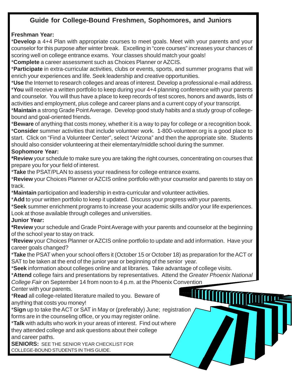### **Guide for College-Bound Freshmen, Sophomores, and Juniors**

### **Freshman Year:**

\***Develop** a 4+4 Plan with appropriate courses to meet goals. Meet with your parents and your counselor for this purpose after winter break. Excelling in "core courses" increases your chances of scoring well on college entrance exams. Your classes should match your goals!

\***Complete** a career assessment such as Choices Planner or AZCIS.

\***Participate** in extra-curricular activities, clubs or events, sports, and summer programs that will enrich your experiences and life. Seek leadership and creative opportunities.

\***Use** the Internet to research colleges and areas of interest. Develop a professional e-mail address. \***You** will receive a written portfolio to keep during your 4+4 planning conference with your parents and counselor. You will thus have a place to keep records of test scores, honors and awards, lists of activities and employment, plus college and career plans and a current copy of your transcript.

\***Maintain** a strong Grade Point Average. Develop good study habits and a study group of collegebound and goal-oriented friends.

\***Beware** of anything that costs money, whether it is a way to pay for college or a recognition book. \***Consider** summer activities that include volunteer work. 1-800-volunteer.org is a good place to start. Click on "Find a Volunteer Center", select "Arizona" and then the appropriate site. Students should also consider volunteering at their elementary/middle school during the summer. **Sophomore Year:**

**\*Review** your schedule to make sure you are taking the right courses, concentrating on courses that prepare you for your field of interest.

\***Take** the PSAT/PLAN to assess your readiness for college entrance exams.

\***Review** your Choices Planner or AZCIS online portfolio with your counselor and parents to stay on track.

\***Maintain** participation and leadership in extra-curricular and volunteer activities.

\***Add** to your written portfolio to keep it updated. Discuss your progress with your parents.

\***Seek** summer enrichment programs to increase your academic skills and/or your life experiences.

Look at those available through colleges and universities.

### **Junior Year:**

**\*Review** your schedule and Grade Point Average with your parents and counselor at the beginning of the school year to stay on track.

\***Review** your Choices Planner or AZCIS online portfolio to update and add information. Have your career goals changed?

\***Take** the PSAT when your school offers it (October 15 or October 18) as preparation for the ACT or SAT to be taken at the end of the junior year or beginning of the senior year.

\***Seek** information about colleges online and at libraries. Take advantage of college visits.

\***Attend** college fairs and presentations by representatives. Attend the *Greater Phoenix National College Fair* on September 14 from noon to 4 p.m. at the Phoenix Convention

Center with your parents.

\***Read** all college-related literature mailed to you. Beware of anything that costs you money!

\***Sign** up to take the ACT or SAT in May or (preferably) June; registration forms are in the counseling office, or you may register online.

\***Talk** with adults who work in your areas of interest. Find out where they attended college and ask questions about their college and career paths.

**SENIORS:** SEE THE SENIOR YEAR CHECKLIST FOR COLLEGE-BOUND STUDENTS IN THIS GUIDE.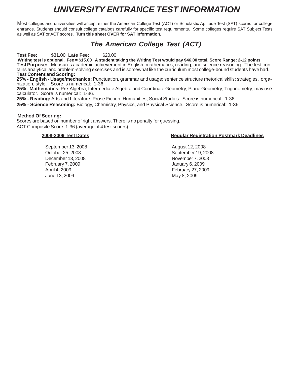### *UNIVERSITY ENTRANCE TEST INFORMATION*

Most colleges and universities will accept either the American College Test (ACT) or Scholastic Aptitude Test (SAT) scores for college entrance. Students should consult college catalogs carefully for specific test requirements. Some colleges require SAT Subject Tests as well as SAT or ACT scores. **Turn this sheet OVER for SAT information.**

### *The American College Test (ACT)*

**Test Fee:** \$31.00 **Late Fee:** \$20.00

**Writing test is optional. Fee = \$15.00 A student taking the Writing Test would pay \$46.00 total. Score Range: 2-12 points Test Purpose:** Measures academic achievement in English, mathematics, reading, and science reasoning. The test contains analytical and problem-solving exercises and is somewhat like the curriculum most college-bound students have had. **Test Content and Scoring:**

**25% - English - Usage/mechanics:** Punctuation, grammar and usage; sentence structure rhetorical skills: strategies, organization, style. Score is numerical: 1-36.

**25% - Mathematics:** Pre-Algebra, Intermediate Algebra and Coordinate Geometry, Plane Geometry, Trigonometry; may use calculator. Score is numerical: 1-36.

**25% - Reading:** Arts and Literature, Prose Fiction, Humanities, Social Studies. Score is numerical: 1-36. **25% - Science Reasoning:** Biology, Chemistry, Physics, and Physical Science. Score is numerical: 1-36.

#### **Method Of Scoring:**

Scores are based on number of right answers. There is no penalty for guessing. ACT Composite Score: 1-36 (average of 4 test scores)

September 13, 2008 **August 12, 2008** December 13, 2008 November 7, 2008 February 7, 2009 January 6, 2009 April 4, 2009 February 27, 2009

#### **2008-2009 Test Dates Regular Registration Postmark Deadlines**

October 25, 2008 September 19, 2008 June 13, 2009 May 8, 2009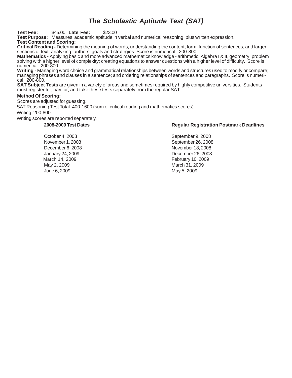### *The Scholastic Aptitude Test (SAT)*

#### **Test Fee:** \$45.00 **Late Fee:** \$23.00

**Test Purpose:** Measures academic aptitude in verbal and numerical reasoning, plus written expression. **Test Content and Scoring:**

**Critical Reading -** Determining the meaning of words; understanding the content, form, function of sentences, and larger sections of text; analyzing authors' goals and strategies. Score is numerical: 200-800.

**Mathematics -** Applying basic and more advanced mathematics knowledge - arithmetic, Algebra I & II, geometry; problem solving with a higher level of complexity; creating equations to answer questions with a higher level of difficulty. Score is numerical: 200-800.

**Writing -** Managing word choice and grammatical relationships between words and structures used to modify or compare; managing phrases and clauses in a sentence; and ordering relationships of sentences and paragraphs. Score is numerical: 200-800.

**SAT Subject Tests** are given in a variety of areas and sometimes required by highly competitive universities. Students must register for, pay for, and take these tests separately from the regular SAT.

#### **Method Of Scoring:**

Scores are adjusted for guessing.

SAT Reasoning Test Total: 400-1600 (sum of critical reading and mathematics scores)

Writing: 200-800

Writing scores are reported separately.

May 2, 2009 March 31, 2009 June 6, 2009 May 5, 2009

#### **2008-2009 Test Dates Regular Registration Postmark Deadlines**

October 4, 2008 September 9, 2008 November 1, 2008 September 26, 2008 December 6, 2008 November 18, 2008 January 24, 2009 December 26, 2008 March 14, 2009 February 10, 2009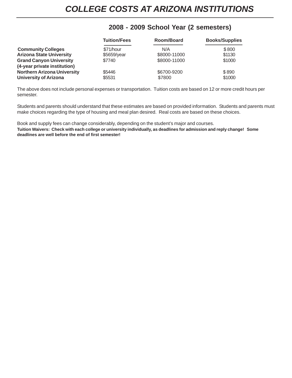### **2008 - 2009 School Year (2 semesters)**

|                                    | <b>Tuition/Fees</b> | Room/Board   | <b>Books/Supplies</b> |
|------------------------------------|---------------------|--------------|-----------------------|
| <b>Community Colleges</b>          | \$71/hour           | N/A          | \$800                 |
| <b>Arizona State University</b>    | \$5659/year         | \$8000-11000 | \$1130                |
| <b>Grand Canyon University</b>     | \$7740              | \$8000-11000 | \$1000                |
| (4-year private institution)       |                     |              |                       |
| <b>Northern Arizona University</b> | \$5446              | \$6700-9200  | \$890                 |
| <b>University of Arizona</b>       | \$5531              | \$7800       | \$1000                |

The above does not include personal expenses or transportation. Tuition costs are based on 12 or more credit hours per semester.

Students and parents should understand that these estimates are based on provided information. Students and parents must make choices regarding the type of housing and meal plan desired. Real costs are based on these choices.

Book and supply fees can change considerably, depending on the student's major and courses. **Tuition Waivers: Check with each college or university individually, as deadlines for admission and reply change! Some deadlines are well before the end of first semester!**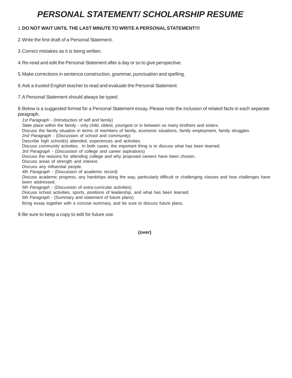### *PERSONAL STATEMENT/ SCHOLARSHIP RESUME*

#### 1.**DO NOT WAIT UNTIL THE LAST MINUTE TO WRITE A PERSONAL STATEMENT!!!**

2.Write the first draft of a Personal Statement.

3.Correct mistakes as it is being written.

4.Re-read and edit the Personal Statement after a day or so to give perspective.

5.Make corrections in sentence construction, grammar, punctuation and spelling.

6.Ask a trusted English teacher to read and evaluate the Personal Statement.

7.A Personal Statement should always be typed.

8.Below is a suggested format for a Personal Statement essay. Please note the inclusion of related facts in each separate paragraph.

*1st Paragraph* - (Introduction of self and family) State place within the family - only child, oldest, youngest or in between so many brothers and sisters. Discuss the family situation in terms of members of family, economic situations, family employment, family struggles. *2nd Paragraph* - (Discussion of school and community) Describe high school(s) attended, experiences and activities. Discuss community activities. In both cases, the important thing is to discuss what has been learned. *3rd Paragraph* - (Discussion of college and career aspirations) Discuss the reasons for attending college and why proposed careers have been chosen. Discuss areas of strength and interest. Discuss any influential people. *4th Paragraph* - (Discussion of academic record) Discuss academic progress, any hardships along the way, particularly difficult or challenging classes and how challenges have been addressed. *5th Paragraph -* (Discussion of extra-curricular activities) Discuss school activities, sports, positions of leadership, and what has been learned. *6th Paragraph -* (Summary and statement of future plans) Bring essay together with a concise summary, and be sure to discuss future plans.

9.Be sure to keep a copy to edit for future use.

 **(over)**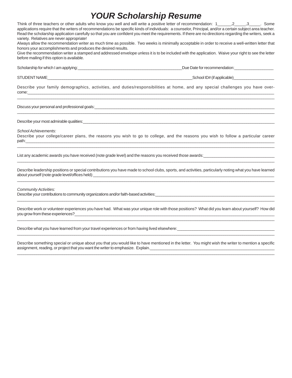### *YOUR Scholarship Resume*

| Think of three teachers or other adults who know you well and will write a positive letter of recommendation: 1_______,2_____,3______. Some<br>applications require that the writers of recommendations be specific kinds of individuals: a counselor, Principal, and/or a certain subject area teacher.<br>Read the scholarship application carefully so that you are confident you meet the requirements. If there are no directions regarding the writers, seek a<br>variety. Relatives are never appropriate! |                              |  |  |
|-------------------------------------------------------------------------------------------------------------------------------------------------------------------------------------------------------------------------------------------------------------------------------------------------------------------------------------------------------------------------------------------------------------------------------------------------------------------------------------------------------------------|------------------------------|--|--|
| Always allow the recommendation writer as much time as possible. Two weeks is minimally acceptable in order to receive a well-written letter that<br>honors your accomplishments and produces the desired results.<br>Give the recommendation writer a stamped and addressed envelope unless it is to be included with the application. Waive your right to see the letter                                                                                                                                        |                              |  |  |
| before mailing if this option is available.                                                                                                                                                                                                                                                                                                                                                                                                                                                                       |                              |  |  |
|                                                                                                                                                                                                                                                                                                                                                                                                                                                                                                                   | Due Date for recommendation: |  |  |
|                                                                                                                                                                                                                                                                                                                                                                                                                                                                                                                   |                              |  |  |
| Describe your family demographics, activities, and duties/responsibilities at home, and any special challenges you have over-                                                                                                                                                                                                                                                                                                                                                                                     |                              |  |  |
|                                                                                                                                                                                                                                                                                                                                                                                                                                                                                                                   |                              |  |  |
|                                                                                                                                                                                                                                                                                                                                                                                                                                                                                                                   |                              |  |  |
| School Achievements:<br>Describe your college/career plans, the reasons you wish to go to college, and the reasons you wish to follow a particular career                                                                                                                                                                                                                                                                                                                                                         |                              |  |  |
| List any academic awards you have received (note grade level) and the reasons you received those awards: University of the second state of the second of the second of the second of the second of the second of the second of                                                                                                                                                                                                                                                                                    |                              |  |  |
| Describe leadership positions or special contributions you have made to school clubs, sports, and activities, particularly noting what you have learned                                                                                                                                                                                                                                                                                                                                                           |                              |  |  |

#### *Community Activities:*

Describe your contributions to community organizations and/or faith-based activities:

Describe work or volunteer experiences you have had. What was your unique role with those positions? What did you learn about yourself? How did you grow from these experiences? \_\_\_\_\_\_\_\_\_\_\_\_\_\_\_\_\_\_\_\_\_\_\_\_\_\_\_\_\_\_\_\_\_\_\_\_\_\_\_\_\_\_\_\_\_\_\_\_\_\_\_\_\_\_\_\_\_\_\_\_\_\_\_\_\_\_\_\_\_\_\_\_\_\_\_\_\_\_\_\_\_\_\_\_\_\_\_\_\_\_\_\_\_\_\_\_\_\_\_\_\_\_\_\_\_\_\_\_\_\_\_\_\_\_\_\_\_\_\_\_

\_\_\_\_\_\_\_\_\_\_\_\_\_\_\_\_\_\_\_\_\_\_\_\_\_\_\_\_\_\_\_\_\_\_\_\_\_\_\_\_\_\_\_\_\_\_\_\_\_\_\_\_\_\_\_\_\_\_\_\_\_\_\_\_\_\_\_\_\_\_\_\_\_\_\_\_\_\_\_\_\_\_\_\_\_\_\_\_\_\_\_\_\_\_\_\_\_\_\_\_\_\_\_\_\_\_\_\_\_\_\_\_\_\_\_\_\_\_\_\_

\_\_\_\_\_\_\_\_\_\_\_\_\_\_\_\_\_\_\_\_\_\_\_\_\_\_\_\_\_\_\_\_\_\_\_\_\_\_\_\_\_\_\_\_\_\_\_\_\_\_\_\_\_\_\_\_\_\_\_\_\_\_\_\_\_\_\_\_\_\_\_\_\_\_\_\_\_\_\_\_\_\_\_\_\_\_\_\_\_\_\_\_\_\_\_\_\_\_\_\_\_\_\_\_\_\_\_\_\_\_\_\_\_\_\_\_\_\_\_\_

Describe what you have learned from your travel experiences or from having lived elsewhere:

Describe something special or unique about you that you would like to have mentioned in the letter. You might wish the writer to mention a specific assignment, reading, or project that you want the writer to emphasize. Explain. \_\_\_\_\_\_\_\_\_\_\_\_\_\_\_\_\_\_\_\_\_\_\_\_\_\_\_\_\_\_\_\_\_\_\_\_\_\_\_\_\_\_\_\_\_\_\_\_\_\_\_\_\_\_\_\_\_\_\_\_\_\_\_\_\_\_\_\_\_\_\_\_\_\_\_\_\_\_\_\_\_\_\_\_\_\_\_\_\_\_\_\_\_\_\_\_\_\_\_\_\_\_\_\_\_\_\_\_\_\_\_\_\_\_\_\_\_\_\_\_

\_\_\_\_\_\_\_\_\_\_\_\_\_\_\_\_\_\_\_\_\_\_\_\_\_\_\_\_\_\_\_\_\_\_\_\_\_\_\_\_\_\_\_\_\_\_\_\_\_\_\_\_\_\_\_\_\_\_\_\_\_\_\_\_\_\_\_\_\_\_\_\_\_\_\_\_\_\_\_\_\_\_\_\_\_\_\_\_\_\_\_\_\_\_\_\_\_\_\_\_\_\_\_\_\_\_\_\_\_\_\_\_\_\_\_\_\_\_\_\_\_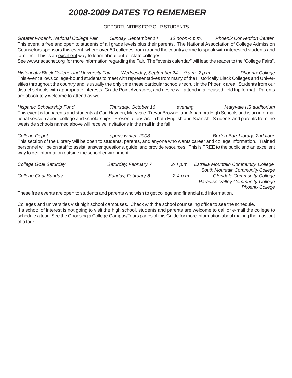# *2008-2009 DATES TO REMEMBER*

#### OPPORTUNITIES FOR OUR STUDENTS

*Greater Phoenix National College Fair Sunday, September 14 12 noon-4 p.m. Phoenix Convention Center* This event is free and open to students of all grade levels plus their parents. The National Association of College Admission Counselors sponsors this event, where over 50 colleges from around the country come to speak with interested students and families. This is an excellent way to learn about out-of-state colleges.

See www.nacacnet.org for more information regarding the Fair. The "events calendar" will lead the reader to the "College Fairs".

*Historically Black College and University Fair Wednesday, September 24 9 a.m.-2 p.m. Phoenix College* This event allows college-bound students to meet with representatives from many of the Historically Black Colleges and Universities throughout the country and is usually the only time these particular schools recruit in the Phoenix area. Students from our district schools with appropriate interests, Grade Point Averages, and desire will attend in a focused field trip format. Parents are absolutely welcome to attend as well.

*Hispanic Scholarship Fund Thursday, October 16 evening Maryvale HS auditorium* This event is for parents and students at Carl Hayden, Maryvale, Trevor Browne, and Alhambra High Schools and is an informational session about college and scholarships. Presentations are in both English and Spanish. Students and parents from the westside schools named above will receive invitations in the mail in the fall.

*College Depot opens winter, 2008 Burton Barr Library, 2nd floor* This section of the Library will be open to students, parents, and anyone who wants career and college information. Trained personnel will be on staff to assist, answer questions, guide, and provide resources. This is FREE to the public and an excellent way to get information outside the school environment.

| College Goal Saturday | Saturday, February 7 | $2 - 4$ p.m. | Estrella Mountain Community College |
|-----------------------|----------------------|--------------|-------------------------------------|
|                       |                      |              | South Mountain Community College    |
| College Goal Sunday   | Sunday, February 8   | $2 - 4$ p.m. | <b>Glendale Community College</b>   |
|                       |                      |              | Paradise Valley Community College   |
|                       |                      |              | <b>Phoenix College</b>              |

These free events are open to students and parents who wish to get college and financial aid information.

Colleges and universities visit high school campuses. Check with the school counseling office to see the schedule. If a school of interest is not going to visit the high school, students and parents are welcome to call or e-mail the college to schedule a tour. See the Choosing a College Campus/Tours pages of this Guide for more information about making the most out of a tour.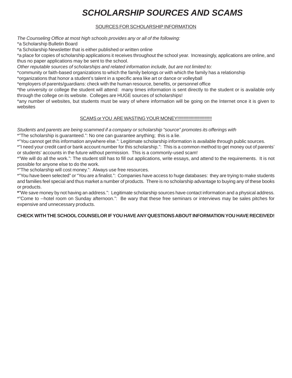# *SCHOLARSHIP SOURCES AND SCAMS*

#### SOURCES FOR SCHOLARSHIP INFORMATION

*The Counseling Office at most high schools provides any or all of the following:*

\*a Scholarship Bulletin Board

\*a Scholarship Newsletter that is either published or written online

\*a place for copies of scholarship applications it receives throughout the school year. Increasingly, applications are online, and thus no paper applications may be sent to the school.

*Other reputable sources of scholarships and related information include, but are not limited to:*

\*community or faith-based organizations to which the family belongs or with which the family has a relationship

\*organizations that honor a student's talent in a specific area like art or dance or volleyball

\*employers of parents/guardians: check with the human resource, benefits, or personnel office

\*the university or college the student will attend: many times information is sent directly to the student or is available only through the college on its website. Colleges are HUGE sources of scholarships!

\*any number of websites, but students must be wary of where information will be going on the Internet once it is given to websites

#### SCAMS or YOU ARE WASTING YOUR MONEY!!!!!!!!!!!!!!!!!!!!!!!!!!!!

*Students and parents are being scammed if a company or scholarship "source" promotes its offerings with* \*"The scholarship is guaranteed.": No one can guarantee anything; this is a lie.

\*"You cannot get this information anywhere else.": Legitimate scholarship information is available through public sources.

\*"I need your credit card or bank account number for this scholarship.": This is a common method to get money out of parents' or students' accounts in the future without permission. This is a commonly-used scam!

\*"We will do all the work.": The student still has to fill out applications, write essays, and attend to the requirements. It is not possible for anyone else to do the work.

\*"The scholarship will cost money.": Always use free resources.

\*"You have been selected" or "You are a finalist.": Companies have access to huge databases: they are trying to make students and families feel special and thus market a number of products. There is no scholarship advantage to buying any of these books or products.

**\***"We save money by not having an address.": Legitimate scholarship sources have contact information and a physical address. \*"Come to --hotel room on Sunday afternoon.": Be wary that these free seminars or interviews may be sales pitches for expensive and unnecessary products.

#### **CHECK WITH THE SCHOOL COUNSELOR IF YOU HAVE ANY QUESTIONS ABOUT INFORMATION YOU HAVE RECEIVED!**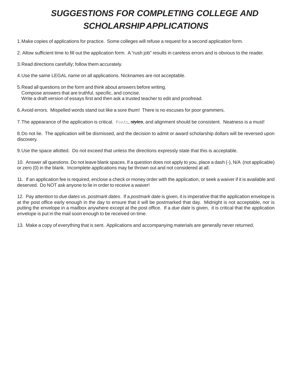# *SUGGESTIONS FOR COMPLETING COLLEGE AND SCHOLARSHIP APPLICATIONS*

1.Make copies of applications for practice. Some colleges will refuse a request for a second application form.

2. Allow sufficient time to fill out the application form. A "rush job" results in careless errors and is obvious to the reader.

3.Read directions carefully; follow them accurately.

4.Use the same LEGAL name on all applications. Nicknames are not acceptable.

5.Read all questions on the form and think about answers before writing. Compose answers that are truthful, specific, and concise. Write a draft version of essays first and then ask a trusted teacher to edit and proofread.

6.Avoid errors. Mispelled words stand out like a sore thum! There is no escuses for poor grammers.

7.The appearance of the application is critical. Fonts, *styles*, and alignment should be consistent. Neatness is a must!

8.Do not lie. The application will be dismissed, and the decision to admit or award scholarship dollars will be reversed upon discovery.

9.Use the space allotted. Do not exceed that unless the directions expressly state that this is acceptable.

10. Answer all questions. Do not leave blank spaces. If a question does not apply to you, place a dash (-), N/A (not applicable) or zero (0) in the blank. Incomplete applications may be thrown out and not considered at all.

11. If an application fee is required, enclose a check or money order with the application, or seek a waiver if it is available and deserved. Do NOT ask anyone to lie in order to receive a waiver!

12. Pay attention to *due dates* vs. *postmark dates.* If a *postmark date* is given, it is imperative that the application envelope is at the post office early enough in the day to ensure that it will be postmarked that day. Midnight is not acceptable, nor is putting the envelope in a mailbox anywhere except at the post office. If a *due date* is given, it is critical that the application envelope is put in the mail soon enough to be received on time.

13. Make a copy of everything that is sent. Applications and accompanying materials are generally never returned.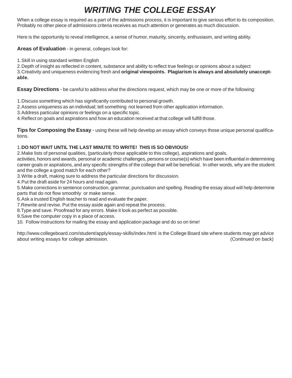### *WRITING THE COLLEGE ESSAY*

When a college essay is required as a part of the admissions process, it is important to give serious effort to its composition. Probably no other piece of admissions criteria receives as much attention or generates as much discussion.

Here is the opportunity to reveal intelligence, a sense of humor, maturity, sincerity, enthusiasm, and writing ability.

#### **Areas of Evaluation** - in general, colleges look for:

1.Skill in using standard written English

2.Depth of insight as reflected in content, substance and ability to reflect true feelings or opinions about a subject 3.Creativity and uniqueness evidencing fresh and **original viewpoints. Plagiarism is always and absolutely unacceptable.**

**Essay Directions** - be careful to address what the directions request, which may be one or more of the following:

1.Discuss something which has significantly contributed to personal growth.

- 2.Assess uniqueness as an individual; tell something not learned from other application information.
- 3.Address particular opinions or feelings on a specific topic.

4.Reflect on goals and aspirations and how an education received at that college will fulfill those.

**Tips for Composing the Essay** - using these will help develop an essay which conveys those unique personal qualifications.

#### 1.**DO NOT WAIT UNTIL THE LAST MINUTE TO WRITE! THIS IS SO OBVIOUS!**

2.Make lists of personal qualities, (particularly those applicable to this college), aspirations and goals,

activities, honors and awards, personal or academic challenges, persons or course(s) which have been influential in determining career goals or aspirations, and any specific strengths of the college that will be beneficial. In other words, why are the student and the college a good match for each other?

3.Write a draft, making sure to address the particular directions for discussion.

4.Put the draft aside for 24 hours and read again.

5.Make corrections in sentence construction, grammar, punctuation and spelling. Reading the essay aloud will help determine parts that do not flow smoothly or make sense.

6.Ask a trusted English teacher to read and evaluate the paper.

7.Rewrite and revise. Put the essay aside again and repeat the process.

8.Type and save. Proofread for any errors. Make it look as perfect as possible.

9.Save the computer copy in a place of access.

10. Follow instructions for mailing the essay and application package and do so on time!

http://www.collegeboard.com/student/apply/essay-skills/index.html is the College Board site where students may get advice about writing essays for college admission. The same of the same of the same of the same (Continued on back)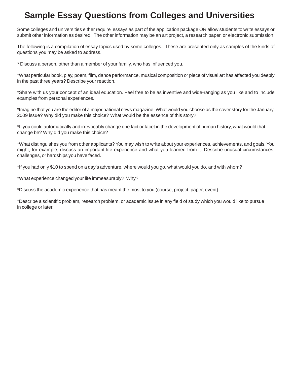### **Sample Essay Questions from Colleges and Universities**

Some colleges and universities either require essays as part of the application package OR allow students to write essays or submit other information as desired. The other information may be an art project, a research paper, or electronic submission.

The following is a compilation of essay topics used by some colleges. These are presented only as samples of the kinds of questions you may be asked to address.

*\** Discuss a person, other than a member of your family, who has influenced you.

\*What particular book, play, poem, film, dance performance, musical composition or piece of visual art has affected you deeply in the past three years? Describe your reaction.

\*Share with us your concept of an ideal education. Feel free to be as inventive and wide-ranging as you like and to include examples from personal experiences.

\*Imagine that you are the editor of a major national news magazine. What would you choose as the cover story for the January, 2009 issue? Why did you make this choice? What would be the essence of this story?

\*If you could automatically and irrevocably change one fact or facet in the development of human history, what would that change be? Why did you make this choice?

\*What distinguishes you from other applicants? You may wish to write about your experiences, achievements, and goals. You might, for example, discuss an important life experience and what you learned from it. Describe unusual circumstances, challenges, or hardships you have faced.

\*If you had only \$10 to spend on a day's adventure, where would you go, what would you do, and with whom?

\*What experience changed your life immeasurably? Why?

\*Discuss the academic experience that has meant the most to you (course, project, paper, event).

\*Describe a scientific problem, research problem, or academic issue in any field of study which you would like to pursue in college or later.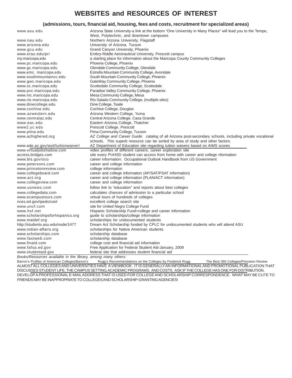### **WEBSITES and RESOURCES OF INTEREST**

#### **(admissions, tours, financial aid, housing, fees and costs, recruitment for specialized areas)**

| www.asu.edu                                                                       | Arizona State University-a link at the bottom "One University in Many Places" will lead you to the Tempe, |
|-----------------------------------------------------------------------------------|-----------------------------------------------------------------------------------------------------------|
|                                                                                   | West, Polytechnic, and downtown campuses                                                                  |
| www.nau.edu                                                                       | Northern Arizona University, Flagstaff                                                                    |
| www.arizona.edu                                                                   | University of Arizona, Tucson                                                                             |
| www.gcu.edu                                                                       | Grand Canyon University, Phoenix                                                                          |
| www.erau.edu/pr/                                                                  | Embry-Riddle Aeronautical University, Prescott campus                                                     |
| my.maricopa.edu                                                                   | a starting place for information about the Maricopa County Community Colleges                             |
| www.pc.maricopa.edu                                                               | Phoenix College, Phoenix                                                                                  |
| www.gc.maricopa.edu                                                               | Glendale Community College, Glendale                                                                      |
| www.emc. maricopa.edu                                                             | Estrella Mountain Community College, Avondale                                                             |
| www.southmountaincc.edu                                                           | South Mountain Community College, Phoenix                                                                 |
| www.gwc.maricopa.edu                                                              | GateWay Community College, Phoenix                                                                        |
| www.sc.maricopa.edu                                                               | Scottsdale Community College, Scottsdale                                                                  |
| www.pvc.maricopa.edu                                                              | Paradise Valley Community College, Phoenix                                                                |
| www.mc.maricopa.edu                                                               | Mesa Community College, Mesa                                                                              |
| www.rio.maricopa.edu                                                              | Rio Salado Community College, (multiple sites)                                                            |
| www.dinecollege.edu                                                               | Dine College, Tsaile                                                                                      |
| www.cochise.edu                                                                   | Cochise College, Douglas                                                                                  |
| www.azwestern.edu                                                                 | Arizona Western College, Yuma                                                                             |
| www.centralaz.edu                                                                 | Central Arizona College, Casa Grande                                                                      |
| www.eac.edu                                                                       | Eastern Arizona College, Thatcher                                                                         |
| www2.yc.edu                                                                       | Prescott College, Prescott                                                                                |
| www.pima.edu                                                                      | Pima Community College, Tucson                                                                            |
| www.azhighered.org                                                                | AZ College and Career Guide: catalog of all Arizona post-secondary schools, including private vocational  |
|                                                                                   | schools. This superb resource can be sorted by area of study and other factors.                           |
| www.ade.az.gov/asd/tuitionwaiver/                                                 | AZ Department of Education site regarding tuition waivers based on AIMS scores                            |
| www.virtualjobshadow.com                                                          | video profiles of different careers, career exploration site                                              |
| access.bridges.com                                                                | site every PUHSD student can access from home with career and college nformation                          |
| www.bls.gov/oco                                                                   | career information: Occupational Outlook Handbook from US Government                                      |
| www.petersons.com                                                                 | career and college information                                                                            |
| www.princetonreview.com                                                           | college information                                                                                       |
| www.collegeboard.com                                                              | career and college information (AP/SAT/PSAT information)                                                  |
| www.act.org                                                                       | career and college information (PLAN/ACT information)                                                     |
| www.collegeview.com                                                               | career and college information                                                                            |
| www.usnews.com                                                                    | follow link to "education" and reports about best colleges                                                |
| www.collegedata.com                                                               | calculates chances of admission to a particular school                                                    |
| www.ecampustours.com                                                              | virtual tours of hundreds of colleges                                                                     |
| nces.ed.gov/ipeds/cool                                                            | excellent college search site                                                                             |
| www.uncf.com                                                                      | site for United Negro College Fund                                                                        |
| www.hsf.net                                                                       | Hispanic Scholarship Fund+college and career information                                                  |
| www.scholarshipsforhispanics.org                                                  | guide to scholarships/college information                                                                 |
| www.maldef.org                                                                    | scholarships for undocumented students                                                                    |
| http://students.asu.edu/node/1477                                                 | Dream Act Scholarship funded by CPLC for undocumented students who will attend ASU                        |
| www.indian-affairs.org                                                            | scholarships for Native American students                                                                 |
| www.scholarships.com                                                              | scholarship database                                                                                      |
| www.fastweb.com                                                                   | scholarship database                                                                                      |
| www.finaid.com                                                                    | college cost and financial aid information                                                                |
|                                                                                   |                                                                                                           |
| www.fafsa.ed.gov                                                                  | Free Application for Federal Student Aid-January, 2009                                                    |
| www.studentaid.gov<br>Books/Resources available in the library among many others: | federal site that addresses student financial aid                                                         |
|                                                                                   |                                                                                                           |

*Books/Resources available in the library, among many others:*

Barron's Profiles of American Colleges/Barron's Rugg's Recommendations on the Colleges by Frederick Rugg The Best 366 Colleges/Princeton Review ALMOST ALL COLLEGES AND UNIVERSITIES HAVE A *VIEWBOOK*. IT IS GENERALLY AN INFORMATIONAL AND PROMOTIONAL PUBLICATION THAT DISCUSSES STUDENT LIFE, THE CAMPUS SETTING, ACADEMIC PROGRAMS, AND COSTS. ASK IF THE COLLEGE HAS ONE FOR DISTRIBUTION. DEVELOP A PROFESSIONAL E-MAIL ADDRESS THAT IS USED FOR COLLEGE AND SCHOLARSHIP CORRESPONDENCE. WHAT MAY BE CUTE TO FRIENDS MAY BE INAPPROPRIATE TO COLLEGES AND SCHOLARSHIP-GRANTING AGENCIES!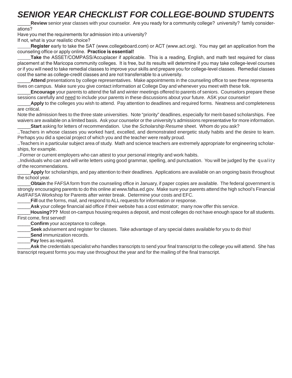### **SENIOR YEAR CHECKLIST FOR COLLEGE-BOUND STUDEN**

Review senior year classes with your counselor. Are you ready for a community college? university? family considerations?

Have you met the requirements for admission into a university?

If not, what is your realistic choice?

\_\_\_\_\_**Register** early to take the SAT (www.collegeboard.com) or ACT (www.act.org). You may get an application from the counseling office or apply online. **Practice is essential!**

Take the ASSET/COMPASS/Accuplacer if applicable. This is a reading, English, and math test required for class placement at the Maricopa community colleges. It is free, but its results will determine if you may take college-level courses or if you will need to take remedial classes to improve your skills and prepare you for college-level classes. Remedial classes cost the same as college-credit classes and are not transferrable to a university.

\_\_\_\_\_**Attend** presentations by college representatives. Make appointments in the counseling office to see these representa tives on campus. Make sure you give contact information at College Day and whenever you meet with these folk.

\_\_\_\_\_**Encourage** your parents to attend the fall and winter meetings offered to parents of seniors. Counselors prepare these sessions carefully and need to include your parents in these discussions about your future. ASK your counselor!

\_\_\_\_\_**Apply** to the colleges you wish to attend. Pay attention to deadlines and required forms. Neatness and completeness are critical.

Note the admission fees to the three state universities. Note "priority" deadlines, especially for merit-based scholarships. Fee waivers are available on a limited basis. Ask your counselor or the university's admissions representative for more information. \_\_\_\_\_**Start** asking for letters of recommendation. Use the *Scholarship Resume* sheet. Whom do you ask?

..Teachers in whose classes you worked hard, excelled, and demonstrated energetic study habits and the desire to learn. Perhaps you did a special project of which you and the teacher were really proud.

..Teachers in a particular subject area of study. Math and science teachers are extremely appropriate for engineering scholarships, for example.

..Former or current employers who can attest to your personal integrity and work habits.

..Individuals who can and will write letters using good grammar, spelling, and punctuation. You will be judged by the quality of the recommendations.

Apply for scholarships, and pay attention to their deadlines. Applications are available on an ongoing basis throughout the school year.

\_\_\_\_\_**Obtain** the FAFSA form from the counseling office in January, if paper copies are available. The federal government is strongly encouraging parents to do this online at www.fafsa.ed.gov. Make sure your parents attend the high school's Financial Aid/FAFSA Workshop for Parents after winter break. Determine your costs and EFC.

\_\_\_\_\_**Fill** out the forms, mail, and respond to ALL requests for information or response.

Ask your college financial aid office if their website has a cost estimator; many now offer this service.

\_\_\_\_\_**Housing???** Most on-campus housing requires a deposit, and most colleges do not have enough space for all students. First come, first served!

**Confirm** your acceptance to college.

\_\_\_\_\_**Seek** advisement and register for classes. Take advantage of any special dates available for you to do this!

Send immunization records.

\_\_\_\_\_**Pay** fees as required.

Ask the credentials specialist who handles transcripts to send your final transcript to the college you will attend. She has transcript request forms you may use throughout the year and for the mailing of the final transcript.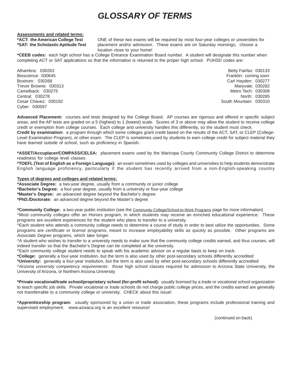### *GLOSSARY OF TERMS*

# **Assessments and related terms:**

**\*ACT: the American College Test** ONE of these two exams will be required by most four-year colleges or universities for **\*SAT: the Scholastic Aptitude Test** placement and/or admission. These exams are on Saturday mornings; choose a location close to your home!

**\*CEEB codes:** each high school has a College Entrance Examination Board number. A student will designate this number when completing ACT or SAT applications so that the information is returned to the proper high school. PUHSD codes are:

Cyber: 030597

Alhambra: 030263 Betty Fairfax: 030133 Bioscience: 030645 Franklin: coming soon Bostrom: 030268 Carl Hayden: 030277 Trevor Browne: 030313 Maryvale: 030282 Camelback: 030275 **Metro Tech: 030308** Metro Tech: 030308 Central: 030278 North: 030285 Cesar Chavez: 030192 South Mountain: 030310

**Advanced Placement:** courses and tests designed by the College Board. AP courses are rigorous and offered in specific subject areas, and the AP tests are graded on a 5 (highest) to 1 (lowest) scale. Scores of 3 or above may allow the student to receive college credit or exemption from college courses. Each college and university handles this differently, so the student must check.

**Credit by examination:** a program through which some colleges grant credit based on the results of the ACT, SAT, or CLEP (College-Level Examination Program), or other exam. The CLEP is sometimes used by students to earn college credit for subject material they have learned outside of school, such as proficiency in Spanish.

**\*ASSET/Accuplacer/COMPASS/CELSA:** placement exams used by the Maricopa County Community College District to determine readiness for college level classes

**\*TOEFL (Test of English as a Foreign Language):** an exam sometimes used by colleges and universities to help students demonstrate English language proficiency, particularly if the student has recently arrived from a non-English-speaking country

#### **Types of degrees and colleges and related terms:**

**\*Associate Degree:** a two-year degree, usually from a community or junior college **\*Bachelor's Degree:** a four-year degree, usually from a university or four-year college **\*Master's Degree:** an advanced degree beyond the Bachelor's degree **\*PhD./Doctorate:** an advanced degree beyond the Master's degree

**\*Community College:** a two-year public institution (see the Community College/School-to-Work Programs page for more information) ^Most community colleges offer an Honors program, in which students may receive an enriched educational experience. These programs are excellent experiences for the student who plans to transfer to a university.

^Each student who attends a community college needs to determine a course of study in order to best utilize the opportunities. Some programs are *certificate* or *license* programs, meant to increase employability skills as quickly as possible. Other programs are *Associate Degree* programs, which take longer.

^A student who wishes to *transfer* to a university needs to make sure that the community college credits earned, and thus courses, will indeed transfer so that the Bachelor's Degree can be completed at the university.

^Each community college student needs to speak with his academic advisor on a regular basis to keep on track.

**\*College:** generally a four-year institution, but the term is also used by other post-secondary schools differently accredited

**\*University:** generally a four-year institution, but the term is also used by other post-secondary schools differently accredited

^*Arizona university competency requirements*: those high school classes required for admission to Arizona State University, the University of Arizona, or Northern Arizona University

**\*Private vocational/trade school/proprietary school (for-profit school):** usually licensed by a trade or vocational school organization to teach specific job skills. Private vocational or trade schools do not charge public college prices, and the credits earned are generally not transferrable to a community college or university. CHECK about this issue!

**\*Apprenticeship program:** usually sponsored by a union or trade association, these programs include professional training and supervised employment. www.azwaca.org is an excellent resource!

(continued on back)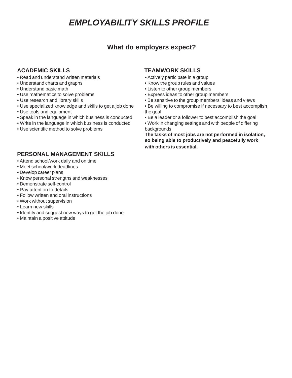### *EMPLOYABILITY SKILLS PROFILE*

### **What do employers expect?**

- Read and understand written materials Actively participate in a group
- Understand charts and graphs Know the group rules and values
- 
- 
- 
- 
- Use tools and equipment the goal
- Speak in the language in which business is conducted Be a leader or a follower to best accomplish the goal
- Write in the language in which business is conducted Work in changing settings and with people of differing
- Use scientific method to solve problems backgrounds

#### **PERSONAL MANAGEMENT SKILLS**

- Attend school/work daily and on time
- Meet school/work deadlines
- Develop career plans
- Know personal strengths and weaknesses
- Demonstrate self-control
- Pay attention to details
- Follow written and oral instructions
- Work without supervision
- Learn new skills
- Identify and suggest new ways to get the job done
- Maintain a positive attitude

#### **ACADEMIC SKILLS TEAMWORK SKILLS**

- 
- 
- Understand basic math Listen to other group members
- Use mathematics to solve problems express ideas to other group members
- Use research and library skills example to the group members' ideas and views
- Use specialized knowledge and skills to get a job done Be willing to compromise if necessary to best accomplish
	-
	-

**The tasks of most jobs are not performed in isolation, so being able to productively and peacefully work with others is essential.**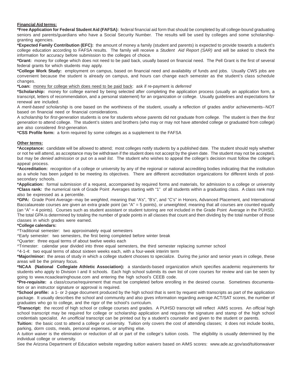#### **Financial Aid terms:**

**\*Free Application for Federal Student Aid (FAFSA):** federal financial aid form that should be completed by all college-bound graduating seniors and parents/guardians who have a Social Security Number. The results will be used by colleges and some scholarshipgranting agencies.

**\*Expected Family Contribution (EFC):** the amount of money a family (student and parents) is expected to provide towards a student's college education according to FAFSA results. The family will receive a *Student Aid Report (SAR)* and will be asked to check the information for accuracy before submission to the colleges of choice.

**\*Grant:** money for college which does not need to be paid back, usually based on financial need. The Pell Grant is the first of several federal grants for which students may apply.

**\*College Work Study:** employment on campus, based on financial need and availability of funds and jobs. Usually CWS jobs are convenient because the student is already on campus, and hours can change each semester as the student's class schedule changes.

**\*Loan:** money for college which does need to be paid back: ask if re-payment is *deferred*

**\*Scholarship:** money for college earned by being selected after completing the application process (usually an application form, a transcript, letters of recommendation, and a personal statement) for an organization or college. Usually guidelines and expectations for renewal are included.

A *merit-based scholarship* is one based on the worthiness of the student, usually a reflection of grades and/or achievements--NOT based on financial need or financial considerations.

A scholarship for *first-generation* students is one for students whose parents did not graduate from college. The student is then the *first generation* to attend college. The student's sisters and brothers (who may or may not have attended college or graduated from college) are also considered *first-generation.*

**\*CSS Profile form:** a form required by some colleges as a supplement to the FAFSA

#### **Other terms:**

**\*Acceptance:** candidate will be allowed to attend; most colleges notify students by a published date. The student should reply whether or not he will attend, as acceptance may be withdrawn if the student does not accept by the given date. The student may not be accepted, but may be *denied admission* or put on a *wait list.* The student who wishes to appeal the college's decision must follow the college's appeal process.

**\*Accreditation:** recognition of a college or university by any of the regional or national accrediting bodies indicating that the institution as a whole has been judged to be meeting its objectives. There are different accreditation organizations for different kinds of postsecondary schools.

**\*Application:** formal submission of a request, accompanied by required forms and materials, for admission to a college or university **\*Class rank***:* the numerical rank of Grade Point Averages starting with "1" of all students within a graduating class. A class rank may also be expressed as a percentile.

**\*GPA:** Grade Point Average--may be *weighted,* meaning that "A's", "B's", and "C's" in Honors, Advanced Placement, and International Baccalaureate courses are given an extra grade point (an "A" = 5 points), or *unweighted*, meaning that all courses are counted equally (an "A" = 4 points). Courses such as student assistant or student tutoring are not included in the Grade Point Average in the PUHSD. The total GPA is determined by totaling the number of grade points in all classes that count and then dividing by the total number of those classes in which grades were earned.

#### **\*College calendars:**

^Traditional semester: two approximately equal semesters

^Early semester: two semesters, the first being completed before winter break

^Quarter: three equal terms of about twelve weeks each

^Trimester: calendar year divided into three equal semesters, the third semester replacing summer school

^4-1-4: two equal terms of about sixteen weeks each, with a four-week interim term

**\*Major/minor:** the areas of study in which a college student chooses to specialize. During the junior and senior years in college, these areas will be the primary focus.

**\*NCAA (National Collegiate Athletic Association):** a standards-based organization which specifies academic requirements for students who apply to Division I and II schools. Each high school submits its own list of core courses for review and can be seen by going to www.ncaaclearinghouse.com and entering the high school's CEEB code.

**\*Pre-requisite:** a class/course/requirement that must be completed before enrolling in the desired course. Sometimes documentation or an instructor signature or approval is required.

**\*School profile:** a 1- or 2-page document produced by the high school that is sent by request with transcripts as part of the application package. It usually describes the school and community and also gives information regarding average ACT/SAT scores, the number of graduates who go to college, and the rigor of the school's curriculum.

**\*Transcript:** the record of high school or college courses and grades. A PUHSD transcript will reflect AIMS scores. An *official* high school transcript may be required for college or scholarship application and requires the signature and stamp of the high school credentials specialist. An *unofficial* transcript can be printed out by a student's counselor and given to the student or parents.

**Tuition:** the basic cost to attend a college or university. Tuition only covers the cost of attending classes; it does not include books, parking, dorm costs, meals, personal expenses, or anything else.

A *tuition waiver* is the elimination or reduction of all or part of the college's tuition costs. The eligibility is usually determined by the individual college or university.

See the Arizona Department of Education website regarding *tuition waivers* based on AIMS scores: www.ade.az.gov/asd/tuitionwaiver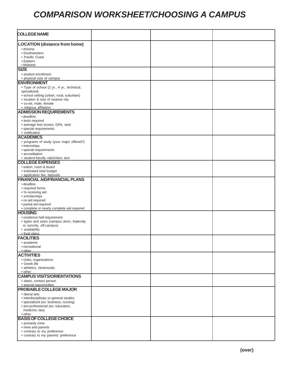### *COMPARISON WORKSHEET/CHOOSING A CAMPUS*

| <b>COLLEGE NAME</b>                                                            |  |  |
|--------------------------------------------------------------------------------|--|--|
| <b>LOCATION (distance from home)</b>                                           |  |  |
| · Arizona                                                                      |  |  |
| • Southwestern                                                                 |  |  |
| • Pacific Coast                                                                |  |  |
| • Eastern                                                                      |  |  |
| • Midwest                                                                      |  |  |
| <b>SIZE</b>                                                                    |  |  |
| • student enrollment                                                           |  |  |
| • physical size of campus                                                      |  |  |
| <b>ENVIRONMENT</b>                                                             |  |  |
| • Type of school (2 yr., 4 yr., technical,                                     |  |  |
| specialized)                                                                   |  |  |
| · school setting (urban, rural, suburban)<br>· location & size of nearest city |  |  |
| · co-ed, male, female                                                          |  |  |
| · religious affiliation                                                        |  |  |
| <b>ADMISSION REQUIREMENTS</b>                                                  |  |  |
| • deadline                                                                     |  |  |
| • tests required                                                               |  |  |
| • average test scores, GPA, rank                                               |  |  |
| · special requirements                                                         |  |  |
| • notification                                                                 |  |  |
| <b>ACADEMICS</b>                                                               |  |  |
| • programs of study (your major offered?)                                      |  |  |
| • internships                                                                  |  |  |
| • special requirements<br>· accreditation                                      |  |  |
| · student-faculty ratio/class size                                             |  |  |
| <b>COLLEGE EXPENSES</b>                                                        |  |  |
| • tuition, room & board                                                        |  |  |
| · estimated total budget                                                       |  |  |
| · application fee, deposits                                                    |  |  |
| <b>FINANCIAL AID/FINANCIAL PLANS</b>                                           |  |  |
| • deadline                                                                     |  |  |
| • required forms                                                               |  |  |
| • % receiving aid                                                              |  |  |
| • scholarships<br>· no aid required                                            |  |  |
| · partial aid required                                                         |  |  |
| · complete or nearly complete aid required                                     |  |  |
| <b>HOUSING</b>                                                                 |  |  |
| • residence hall requirement                                                   |  |  |
| • types and sizes (campus dorm, fraternity                                     |  |  |
| or sorority, off-campus)                                                       |  |  |
| • availability                                                                 |  |  |
| · food plans                                                                   |  |  |
| <b>FACILITIES</b>                                                              |  |  |
| • academic                                                                     |  |  |
| • recreational                                                                 |  |  |
| • other<br><b>ACTIVITIES</b>                                                   |  |  |
|                                                                                |  |  |
| · clubs, organizations<br>• Greek life                                         |  |  |
| · athletics, intramurals                                                       |  |  |
| • other                                                                        |  |  |
| <b>CAMPUS VISITS/ORIENTATIONS</b>                                              |  |  |
| · dates, contact person                                                        |  |  |
| · special opportunities                                                        |  |  |
| <b>PROBABLE COLLEGE MAJOR</b>                                                  |  |  |
| · liberal arts                                                                 |  |  |
| • interdisciplinary or general studies                                         |  |  |
| · specialized (ex: business, nursing)                                          |  |  |
| • pre-professional (ex: education,                                             |  |  |
| medicine, law)<br>• other                                                      |  |  |
| <b>BASIS OF COLLEGE CHOICE</b>                                                 |  |  |
| • primarily mine                                                               |  |  |
| • mine and parents                                                             |  |  |
| • contrary to my preference                                                    |  |  |
| • contrary to my parents' preference                                           |  |  |
|                                                                                |  |  |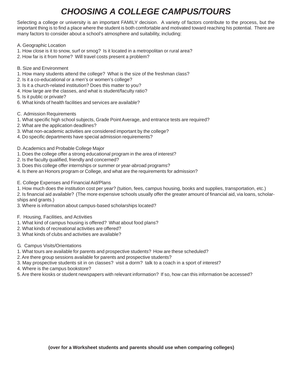### *CHOOSING A COLLEGE CAMPUS/TOURS*

Selecting a college or university is an important FAMILY decision. A variety of factors contribute to the process, but the important thing is to find a place where the student is both comfortable and motivated toward reaching his potential. There are many factors to consider about a school's atmosphere and suitability, including:

- A. Geographic Location
- 1. How close is it to snow, surf or smog? Is it located in a metropolitan or rural area?
- 2. How far is it from home? Will travel costs present a problem?
- B. Size and Environment
- 1. How many students attend the college? What is the size of the freshman class?
- 2. Is it a co-educational or a men's or women's college?
- 3. Is it a church-related institution? Does this matter to you?
- 4. How large are the classes, and what is student/faculty ratio?
- 5. Is it public or private?
- 6. What kinds of health facilities and services are available?
- C. Admission Requirements
- 1. What specific high school subjects, Grade Point Average, and entrance tests are required?
- 2. What are the application deadlines?
- 3. What non-academic activities are considered important by the college?
- 4. Do specific departments have special admission requirements?
- D. Academics and Probable College Major
- 1. Does the college offer a strong educational program in the area of interest?
- 2. Is the faculty qualified, friendly and concerned?
- 3. Does this college offer internships or summer or year-abroad programs?
- 4. Is there an Honors program or College, and what are the requirements for admission?
- E. College Expenses and Financial Aid/Plans
- 1. How much does the institution cost per year? (tuition, fees, campus housing, books and supplies, transportation, etc.)
- 2. Is financial aid available? (The more expensive schools usually offer the greater amount of financial aid, via loans, scholarships and grants.)
- 3. Where is information about campus-based scholarships located?
- F. Housing, Facilities, and Activities
- 1. What kind of campus housing is offered? What about food plans?
- 2. What kinds of recreational activities are offered?
- 3. What kinds of clubs and activities are available?
- G. Campus Visits/Orientations
- 1. What tours are available for parents and prospective students? How are these scheduled?
- 2. Are there group sessions available for parents and prospective students?
- 3. May prospective students sit in on classes? visit a dorm? talk to a coach in a sport of interest?
- 4. Where is the campus bookstore?
- 5. Are there kiosks or student newspapers with relevant information? If so, how can this information be accessed?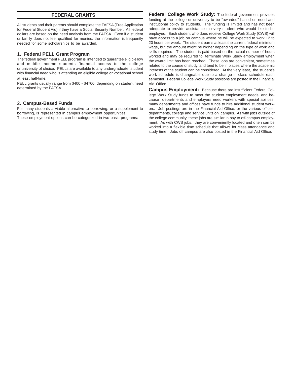#### **FEDERAL GRANTS**

All students and their parents should complete the FAFSA (Free Application for Federal Student Aid) if they have a Social Security Number. All federal dollars are based on the need analysis from the FAFSA. Even if a student or family does not feel qualified for monies, the information is frequently needed for some scholarships to be awarded.

#### 1. **Federal PELL Grant Program**

The federal government PELL program is intended to guarantee eligible low and middle income students financial access to the college or university of choice. PELLs are available to any undergraduate student with financial need who is attending an eligible college or vocational school at least half-time.

PELL grants usually range from \$400 - \$4700, depending on student need determined by the FAFSA.

#### 2. **Campus-Based Funds**

For many students a viable alternative to borrowing, or a supplement to borrowing, is represented in campus employment opportunities. These employment options can be categorized in two basic programs:

**Federal College Work Study:** The federal government provides funding at the college or university to be "awarded" based on need and institutional policy to students. The funding is limited and has not been adequate to provide assistance to every student who would like to be employed. Each student who does receive College Work Study (CWS) will have access to a job on campus where he will be expected to work 12 to 20 hours per week. The student earns at least the current federal minimum wage, but the amount might be higher depending on the type of work and skills required. The student is paid based on the actual number of hours worked and may be required to terminate Work Study employment when the award limit has been reached. These jobs are convenient, sometimes related to the course of study, and tend to be in places where the academic interests of the student can be considered. At the very least, the student's work schedule is changeable due to a change in class schedule each semester. Federal College Work Study positions are posted in the Financial Aid Office.

**Campus Employment:** Because there are insufficient Federal College Work Study funds to meet the student employment needs, and because departments and employers need workers with special abilities, many departments and offices have funds to hire additional student workers. Job postings are in the Financial Aid Office, or the various offices, departments, college and service units on campus. As with jobs outside of the college community, these jobs are similar in pay to off-campus employment. As with CWS jobs, they are conveniently located and often can be worked into a flexible time schedule that allows for class attendance and study time. Jobs off campus are also posted in the Financial Aid Office.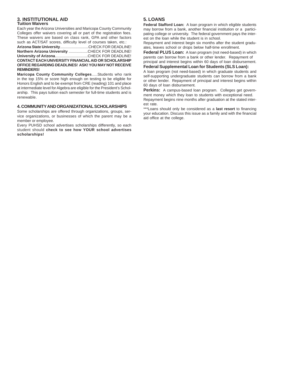#### **3. INSTITUTIONAL AID 5. LOANS Tuition Waivers**

Each year the Arizona Universities and Maricopa County Community Colleges offer waivers covering all or part of the registration fees. These waivers are based on class rank, GPA and other factors such as ACT/SAT scores, difficulty level of courses taken, etc.:

**Arizona State University**...........................CHECK FOR DEADLINE! **Northern Arizona University** ..................CHECK FOR DEADLINE! **University of Arizona**...............................CHECK FOR DEADLINE! **CONTACT EACH UNIVERSITY FINANCIAL AID OR SCHOLARSHIP OFFICE REGARDING DEADLINES! ASK! YOU MAY NOT RECEIVE REMINDERS!**

**Maricopa County Community Colleges**.....Students who rank in the top 15% or score high enough on testing to be eligible for Honors English and to be exempt from CRE (reading) 101 and place at intermediate level for Algebra are eligible for the President's Scholarship. This pays tuition each semester for full-time students and is renewable.

#### **4. COMMUNITY AND ORGANIZATIONAL SCHOLARSHIPS**

Some scholarships are offered through organizations, groups, service organizations, or businesses of which the parent may be a member or employee.

Every PUHSD school advertises scholarships differently, so each student should **check to see how YOUR school advertises scholarships!**

**Federal Stafford Loan:** A loan program in which eligible students may borrow from a bank, another financial institution or a participating college or university. The federal government pays the interest on the loan while the student is in school.

Repayment and interest begin six months after the student graduates, leaves school or drops below half-time enrollment.

**Federal PLUS Loan:** A loan program (not need-based) in which parents can borrow from a bank or other lender. Repayment of

principal and interest begins within 60 days of loan disbursement. **Federal Supplemental Loan for Students (SLS Loan):**

A loan program (not need-based) in which graduate students and self-supporting undergraduate students can borrow from a bank or other lender. Repayment of principal and interest begins within 60 days of loan disbursement.

**Perkins:** A campus-based loan program. Colleges get government money which they loan to students with exceptional need. Repayment begins nine months after graduation at the stated interest rate.

\*\*\*Loans should only be considered as a **last resort** to financing your education. Discuss this issue as a family and with the financial aid office at the college.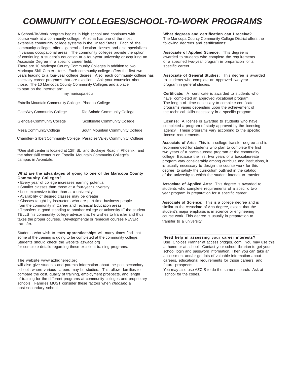### *COMMUNITY COLLEGES/SCHOOL-TO-WORK PROGRAMS*

A School-To-Work program begins in high school and continues with **What degrees and certification can I receive?** course work at a community college. Arizona has one of the most The Maricopa County Community College District offers the extensive community college systems in the United States. Each of the following degrees and certifications: community colleges offers general education classes and also specializes in various occupational areas. The community colleges provide the option **Associate of Applied Science:** This degree is of continuing a student's education at a four-year university or acquiring an awarded to students who complete the requirements Associate Degree in a specific career field.  $\blacksquare$  of a specified two-year program in preparation for a

There are 10 Maricopa County Community Colleges in addition to two specific career. Maricopa Skill Center sites\*. Each community college offers the first two years leading to a four-year college degree. Also, each community college has **Associate of General Studies:** This degree is awarded specialty career programs that are excellent. Ask your counselor about to students who complete an approved two-year those. The 10 Maricopa County Community Colleges and a place program in general studies. to start on the Internet are:

Estrella Mountain Community College | Phoenix College | The length of time necessary to complete certificate

| <b>GateWay Community College</b>                                        | Rio Salado Community College     |
|-------------------------------------------------------------------------|----------------------------------|
| <b>Glendale Community College</b>                                       | Scottsdale Community College     |
| Mesa Community College                                                  | South Mountain Community College |
| Chandler- Gilbert Community College   Paradise Valley Community College |                                  |

\*One skill center is located at 12th St. and Buckeye Road in Phoenix, and the other skill center is on Estrella Mountain Community College's campus in Avondale.

#### **What are the advantages of going to one of the Maricopa County Community Colleges?**

- Every year of college increases earning potential
- Smaller classes than those at a four-year university
- Less expensive tuition than at a university
- Availability of desired classes may be greater
- Classes taught by instructors who are part-time business people
- from the community in Career and Technical Education areas

• Transfers in good standing to another college or university IF the student TELLS his community college advisor that he wishes to transfer and thus takes the proper courses. Developmental or remedial courses NEVER transfer.

Students who wish to enter **apprenticeships** will many times find that some of the training is going to be completed at the community college. **Need help in assessing your career interests?** Students should check the website azwaca.org **Example 2018** Use Choices Planner at access.bridges. com. You may use this

will also give students and parents information about the post-secondary schools where various careers may be studied. This allows families to You may also use AZCIS to do the same research. Ask at compare the cost, quality of training, employment prospects, and length school for the codes. of training for the different programs at community colleges and proprietary schools. Families MUST consider these factors when *choosing* a post-secondary school.

 my.maricopa.edu **Certificate:** A certificate is awarded to students who have completed an approved vocational program. programs varies depending upon the achievement of the technical skills necessary in a specific program.

> License: A license is awarded to students who have completed a program of study approved by the licensing agency. These programs vary according to the specific license requirements.

**Associate of Arts:** This is a college transfer degree and is recommended for students who plan to complete the first two years of a baccalaureate program at the community college. Because the first two years of a baccalaureate program vary considerably among curricula and institutions, it is usually necessary to design the course work for this degree to satisfy the curriculum outlined in the catalog of the university to which the student intends to transfer.

**Associate of Applied Arts:** This degree is awarded to students who complete requirements of a specific two year program in preparation for a specific career.

**Associate of Science:** This is a college degree and is similar to the Associate of Arts degree, except that the student's major emphasis is in science or engineering course work. This degree is usually in preparation to transfer to a university.

for complete details regarding these excellent training programs. The same or at school. Contact your school librarian to get your school login and password information. Then you can take an assessment and/or get lots of valuable information about The website www.azhighered.org carears, educational requirements for those careers, and<br>
will also give students and parents information about the post-secondary future prospects.